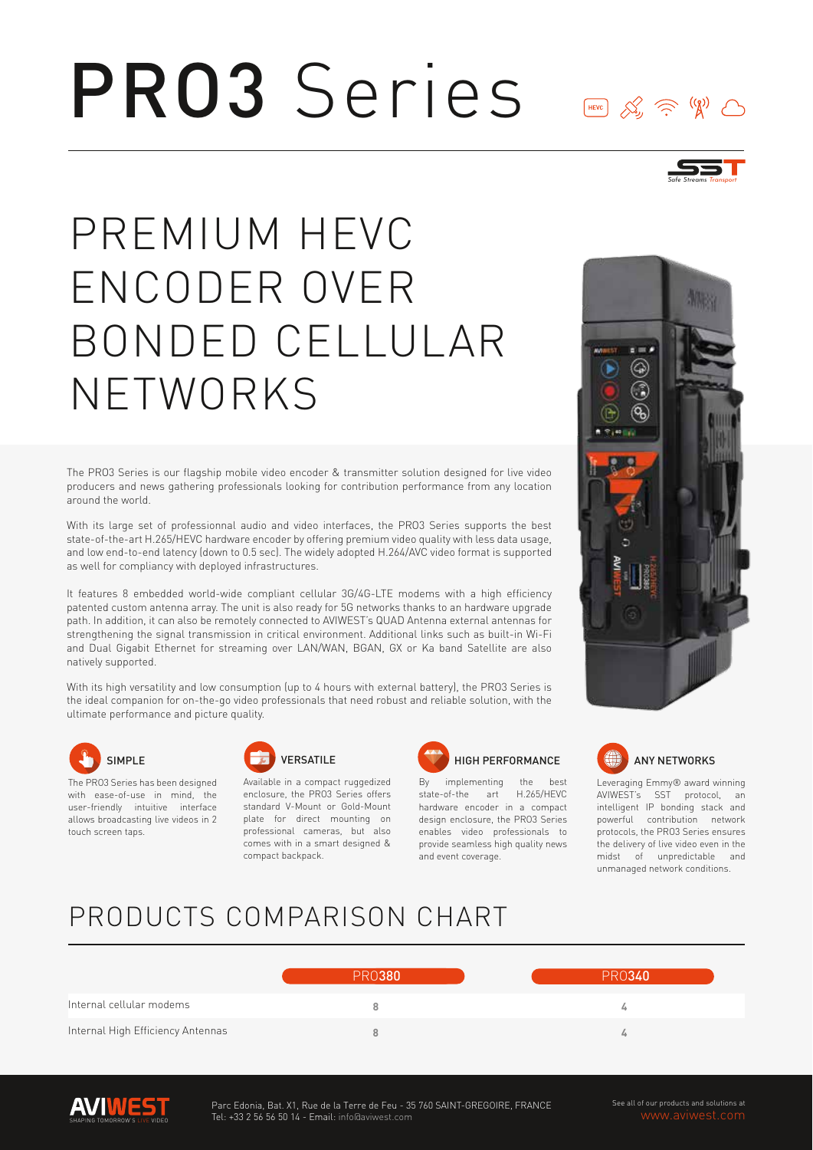# PRO3 Series



 $\begin{picture}(120,111){\small\bf 1} \put(15,111){\small\bf 1} \put(15,111){\small\bf 1} \put(15,111){\small\bf 1} \put(15,111){\small\bf 1} \put(15,111){\small\bf 1} \put(15,111){\small\bf 1} \put(15,111){\small\bf 1} \put(15,111){\small\bf 1} \put(15,111){\small\bf 1} \put(15,111){\small\bf 1} \put(15,111){\small\bf 1} \put(15,111){\small\$ 

# PREMIUM HEVC ENCODER OVER BONDED CELLULAR NETWORKS

The PRO3 Series is our flagship mobile video encoder & transmitter solution designed for live video producers and news gathering professionals looking for contribution performance from any location around the world.

With its large set of professionnal audio and video interfaces, the PRO3 Series supports the best state-of-the-art H.265/HEVC hardware encoder by offering premium video quality with less data usage, and low end-to-end latency (down to 0.5 sec). The widely adopted H.264/AVC video format is supported as well for compliancy with deployed infrastructures.

It features 8 embedded world-wide compliant cellular 3G/4G-LTE modems with a high efficiency patented custom antenna array. The unit is also ready for 5G networks thanks to an hardware upgrade path. In addition, it can also be remotely connected to AVIWEST's QUAD Antenna external antennas for strengthening the signal transmission in critical environment. Additional links such as built-in Wi-Fi and Dual Gigabit Ethernet for streaming over LAN/WAN, BGAN, GX or Ka band Satellite are also natively supported.

With its high versatility and low consumption (up to 4 hours with external battery), the PRO3 Series is the ideal companion for on-the-go video professionals that need robust and reliable solution, with the ultimate performance and picture quality.



The PRO3 Series has been designed with ease-of-use in mind, the user-friendly intuitive interface allows broadcasting live videos in 2 touch screen taps.



Available in a compact ruggedized enclosure, the PRO3 Series offers standard V-Mount or Gold-Mount plate for direct mounting on professional cameras, but also comes with in a smart designed & compact backpack.



By implementing the state-of-the art H.265/HEVC hardware encoder in a compact design enclosure, the PRO3 Series enables video professionals to provide seamless high quality news and event coverage.





Leveraging Emmy® award winning AVIWEST's SST protocol, an intelligent IP bonding stack and powerful contribution network protocols, the PRO3 Series ensures the delivery of live video even in the midst of unpredictable and unmanaged network conditions.

### PRODUCTS COMPARISON CHART

|                                   | PRO380 | PRN340 |
|-----------------------------------|--------|--------|
| Internal cellular modems          |        |        |
| Internal High Efficiency Antennas |        | Ls.    |